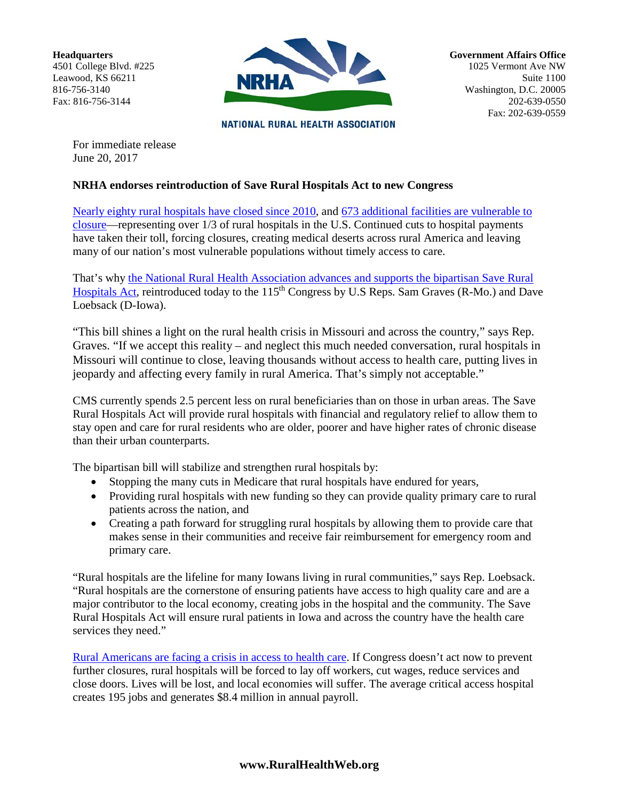**Headquarters** 4501 College Blvd. #225 Leawood, KS 66211 816-756-3140 Fax: 816-756-3144



**NATIONAL RURAL HEALTH ASSOCIATION** 

For immediate release June 20, 2017

## **NRHA endorses reintroduction of Save Rural Hospitals Act to new Congress**

Nearly eighty [rural hospitals have closed since 2010,](http://www.shepscenter.unc.edu/programs-projects/rural-health/rural-hospital-closures/) and [673 additional facilities are vulnerable to](https://www.ruralhealthweb.org/getattachment/News/Press-Releases/02-02-16PI16NRHAreleaseoniVantagestudy.pdf.aspx?lang=en-US)  [closure—](https://www.ruralhealthweb.org/getattachment/News/Press-Releases/02-02-16PI16NRHAreleaseoniVantagestudy.pdf.aspx?lang=en-US)representing over 1/3 of rural hospitals in the U.S. Continued cuts to hospital payments have taken their toll, forcing closures, creating medical deserts across rural America and leaving many of our nation's most vulnerable populations without timely access to care.

That's why [the National Rural Health Association advances and supports the bipartisan Save Rural](http://connect.nrharural.org/blogs/erin-mahn/2017/06/20/nrha-endorses-reintroduction-of-save-rural-hospitals-act-to-new-congress)  [Hospitals Act,](http://connect.nrharural.org/blogs/erin-mahn/2017/06/20/nrha-endorses-reintroduction-of-save-rural-hospitals-act-to-new-congress) reintroduced today to the 115<sup>th</sup> Congress by U.S Reps. Sam Graves (R-Mo.) and Dave Loebsack (D-Iowa).

"This bill shines a light on the rural health crisis in Missouri and across the country," says Rep. Graves. "If we accept this reality – and neglect this much needed conversation, rural hospitals in Missouri will continue to close, leaving thousands without access to health care, putting lives in jeopardy and affecting every family in rural America. That's simply not acceptable."

CMS currently spends 2.5 percent less on rural beneficiaries than on those in urban areas. The Save Rural Hospitals Act will provide rural hospitals with financial and regulatory relief to allow them to stay open and care for rural residents who are older, poorer and have higher rates of chronic disease than their urban counterparts.

The bipartisan bill will stabilize and strengthen rural hospitals by:

- Stopping the many cuts in Medicare that rural hospitals have endured for years,
- Providing rural hospitals with new funding so they can provide quality primary care to rural patients across the nation, and
- Creating a path forward for struggling rural hospitals by allowing them to provide care that makes sense in their communities and receive fair reimbursement for emergency room and primary care.

"Rural hospitals are the lifeline for many Iowans living in rural communities," says Rep. Loebsack. "Rural hospitals are the cornerstone of ensuring patients have access to high quality care and are a major contributor to the local economy, creating jobs in the hospital and the community. The Save Rural Hospitals Act will ensure rural patients in Iowa and across the country have the health care services they need."

[Rural Americans are facing a crisis in access to health care.](https://www.ruralhealthweb.org/advocate) If Congress doesn't act now to prevent further closures, rural hospitals will be forced to lay off workers, cut wages, reduce services and close doors. Lives will be lost, and local economies will suffer. The average critical access hospital creates 195 jobs and generates \$8.4 million in annual payroll.

## **www.RuralHealthWeb.org**